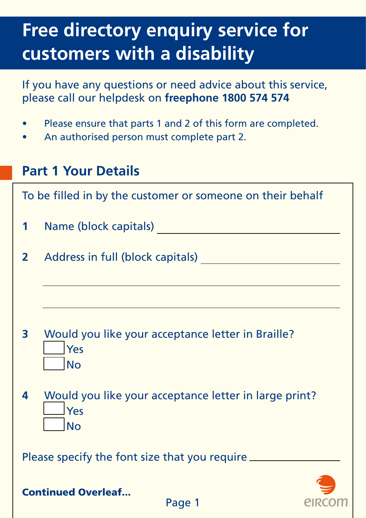# **Free directory enquiry service for customers with a disability**

If you have any questions or need advice about this service, please call our helpdesk on **freephone 1800 574 574**

- Please ensure that parts 1 and 2 of this form are completed.
- An authorised person must complete part 2.

### **Part 1 Your Details**

To be filled in by the customer or someone on their behalf

- **1** Name (block capitals)
- **2** Address in full (block capitals)

- **3** Would you like your acceptance letter in Braille? Yes No
- **4** Would you like your acceptance letter in large print? Yes **No**

Please specify the font size that you require \_\_\_\_\_\_\_\_\_\_\_\_\_\_\_\_\_\_\_\_\_\_\_\_\_\_\_\_\_\_\_\_\_\_\_



Continued Overleaf...

Page 1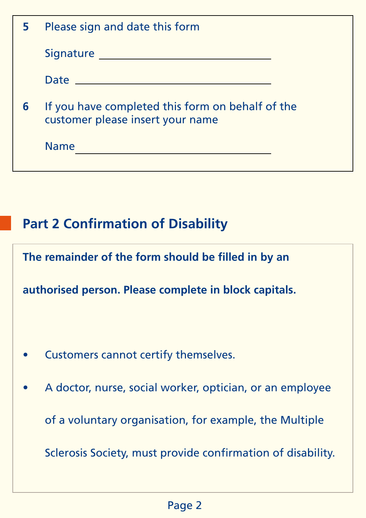| 5. | Please sign and date this form                                                       |
|----|--------------------------------------------------------------------------------------|
|    |                                                                                      |
|    |                                                                                      |
| 6  | If you have completed this form on behalf of the<br>customer please insert your name |
|    | <b>Name</b>                                                                          |
|    |                                                                                      |
|    |                                                                                      |

## **Part 2 Confirmation of Disability**

**The remainder of the form should be filled in by an** 

**authorised person. Please complete in block capitals.**

- Customers cannot certify themselves.
- A doctor, nurse, social worker, optician, or an employee of a voluntary organisation, for example, the Multiple Sclerosis Society, must provide confirmation of disability.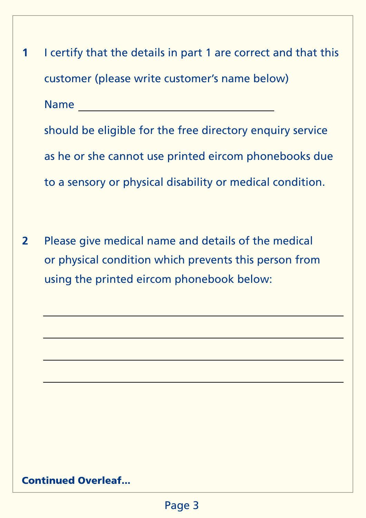**1** I certify that the details in part 1 are correct and that this customer (please write customer's name below) Name should be eligible for the free directory enquiry service as he or she cannot use printed eircom phonebooks due to a sensory or physical disability or medical condition. **2** Please give medical name and details of the medical or physical condition which prevents this person from using the printed eircom phonebook below:

#### Continued Overleaf...